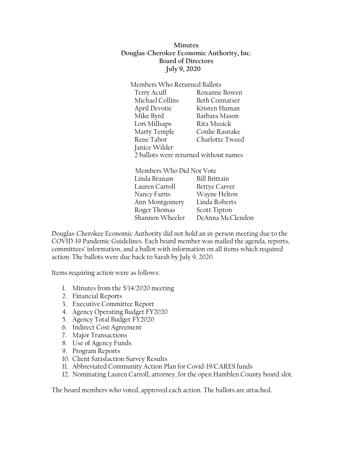**Minutes Douglas-Cherokee Economic Authority, Inc. Board of Directors July 9, 2020**

Members Who Returned Ballots Terry Acuff Roxanne Bowen Michael Collins Beth Connatser April Devotie Kristen Human Mike Byrd Barbara Mason Lori Millsaps Rita Musick Marty Temple Conlie Rasnake Rene Tabor Charlotte Tweed Janice Wilder 2 ballots were returned without names

Members Who Did Not Vote Linda Branam Bill Brittain Lauren Carroll Bettye Carver Nancy Farris Wayne Helton Ann Montgomery Linda Roberts Roger Thomas Scott Tipton Shannon Wheeler DeAnna McClendon

Douglas-Cherokee Economic Authority did not hold an in-person meeting due to the COVID-19 Pandemic Guidelines. Each board member was mailed the agenda, reports, committees' information, and a ballot with information on all items which required action. The ballots were due back to Sarah by July 9, 2020.

Items requiring action were as follows:

- 1. Minutes from the 5/14/2020 meeting
- 2. Financial Reports
- 3. Executive Committee Report
- 4. Agency Operating Budget FY2020
- 5. Agency Total Budget FY2020
- 6. Indirect Cost Agreement
- 7. Major Transactions
- 8. Use of Agency Funds
- 9. Program Reports
- 10. Client Satisfaction Survey Results
- 11. Abbreviated Community Action Plan for Covid-19/CARES funds
- 12. Nominating Lauren Carroll, attorney, for the open Hamblen County board slot.

The board members who voted, approved each action. The ballots are attached.